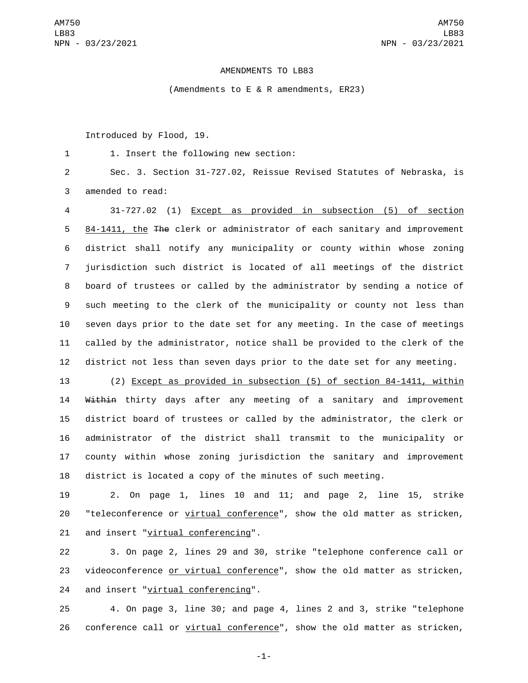## AMENDMENTS TO LB83

(Amendments to E & R amendments, ER23)

Introduced by Flood, 19.

1. Insert the following new section:1

2 Sec. 3. Section 31-727.02, Reissue Revised Statutes of Nebraska, is 3 amended to read:

 31-727.02 (1) Except as provided in subsection (5) of section 84-1411, the The clerk or administrator of each sanitary and improvement district shall notify any municipality or county within whose zoning jurisdiction such district is located of all meetings of the district board of trustees or called by the administrator by sending a notice of such meeting to the clerk of the municipality or county not less than seven days prior to the date set for any meeting. In the case of meetings called by the administrator, notice shall be provided to the clerk of the district not less than seven days prior to the date set for any meeting.

 (2) Except as provided in subsection (5) of section 84-1411, within 14 Within thirty days after any meeting of a sanitary and improvement district board of trustees or called by the administrator, the clerk or administrator of the district shall transmit to the municipality or county within whose zoning jurisdiction the sanitary and improvement district is located a copy of the minutes of such meeting.

19 2. On page 1, lines 10 and 11; and page 2, line 15, strike 20 "teleconference or virtual conference", show the old matter as stricken, 21 and insert "virtual conferencing".

22 3. On page 2, lines 29 and 30, strike "telephone conference call or 23 videoconference or virtual conference", show the old matter as stricken, 24 and insert "virtual conferencing".

25 4. On page 3, line 30; and page 4, lines 2 and 3, strike "telephone 26 conference call or virtual conference", show the old matter as stricken,

-1-